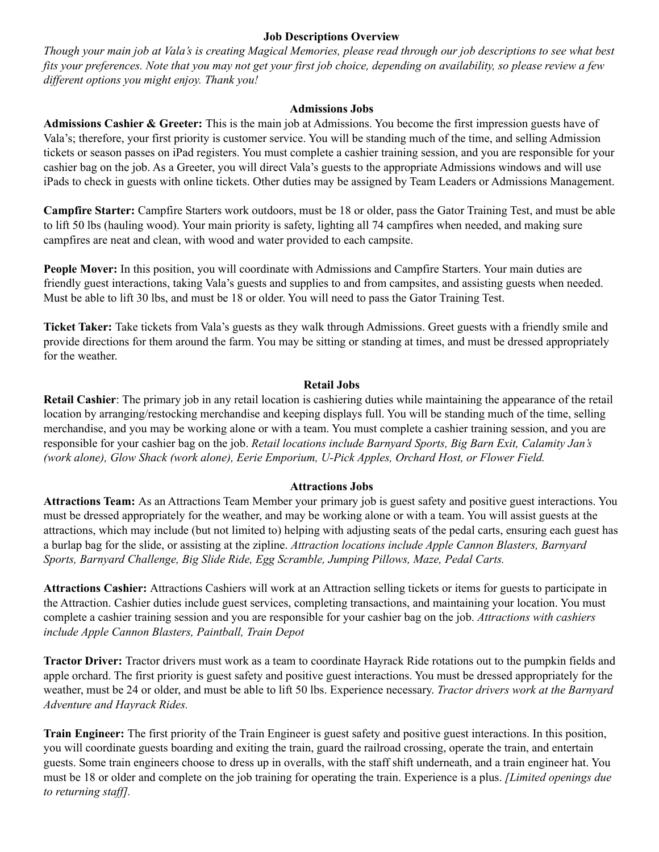# **Job Descriptions Overview**

Though your main job at Vala's is creating Magical Memories, please read through our job descriptions to see what best fits your preferences. Note that you may not get your first job choice, depending on availability, so please review a few *dif erent options you might enjoy. Thank you!*

### **Admissions Jobs**

**Admissions Cashier & Greeter:** This is the main job at Admissions. You become the first impression guests have of Vala's; therefore, your first priority is customer service. You will be standing much of the time, and selling Admission tickets or season passes on iPad registers. You must complete a cashier training session, and you are responsible for your cashier bag on the job. As a Greeter, you will direct Vala's guests to the appropriate Admissions windows and will use iPads to check in guests with online tickets. Other duties may be assigned by Team Leaders or Admissions Management.

**Campfire Starter:** Campfire Starters work outdoors, must be 18 or older, pass the Gator Training Test, and must be able to lift 50 lbs (hauling wood). Your main priority is safety, lighting all 74 campfires when needed, and making sure campfires are neat and clean, with wood and water provided to each campsite.

**People Mover:** In this position, you will coordinate with Admissions and Campfire Starters. Your main duties are friendly guest interactions, taking Vala's guests and supplies to and from campsites, and assisting guests when needed. Must be able to lift 30 lbs, and must be 18 or older. You will need to pass the Gator Training Test.

**Ticket Taker:** Take tickets from Vala's guests as they walk through Admissions. Greet guests with a friendly smile and provide directions for them around the farm. You may be sitting or standing at times, and must be dressed appropriately for the weather.

### **Retail Jobs**

**Retail Cashier**: The primary job in any retail location is cashiering duties while maintaining the appearance of the retail location by arranging/restocking merchandise and keeping displays full. You will be standing much of the time, selling merchandise, and you may be working alone or with a team. You must complete a cashier training session, and you are responsible for your cashier bag on the job. *Retail locations include Barnyard Sports, Big Barn Exit, Calamity Jan's (work alone), Glow Shack (work alone), Eerie Emporium, U-Pick Apples, Orchard Host, or Flower Field.*

#### **Attractions Jobs**

**Attractions Team:** As an Attractions Team Member your primary job is guest safety and positive guest interactions. You must be dressed appropriately for the weather, and may be working alone or with a team. You will assist guests at the attractions, which may include (but not limited to) helping with adjusting seats of the pedal carts, ensuring each guest has a burlap bag for the slide, or assisting at the zipline. *Attraction locations include Apple Cannon Blasters, Barnyard Sports, Barnyard Challenge, Big Slide Ride, Egg Scramble, Jumping Pillows, Maze, Pedal Carts.*

**Attractions Cashier:** Attractions Cashiers will work at an Attraction selling tickets or items for guests to participate in the Attraction. Cashier duties include guest services, completing transactions, and maintaining your location. You must complete a cashier training session and you are responsible for your cashier bag on the job. *Attractions with cashiers include Apple Cannon Blasters, Paintball, Train Depot*

**Tractor Driver:** Tractor drivers must work as a team to coordinate Hayrack Ride rotations out to the pumpkin fields and apple orchard. The first priority is guest safety and positive guest interactions. You must be dressed appropriately for the weather, must be 24 or older, and must be able to lift 50 lbs. Experience necessary. *Tractor drivers work at the Barnyard Adventure and Hayrack Rides.*

**Train Engineer:** The first priority of the Train Engineer is guest safety and positive guest interactions. In this position, you will coordinate guests boarding and exiting the train, guard the railroad crossing, operate the train, and entertain guests. Some train engineers choose to dress up in overalls, with the staff shift underneath, and a train engineer hat. You must be 18 or older and complete on the job training for operating the train. Experience is a plus. *[Limited openings due to returning staff]*.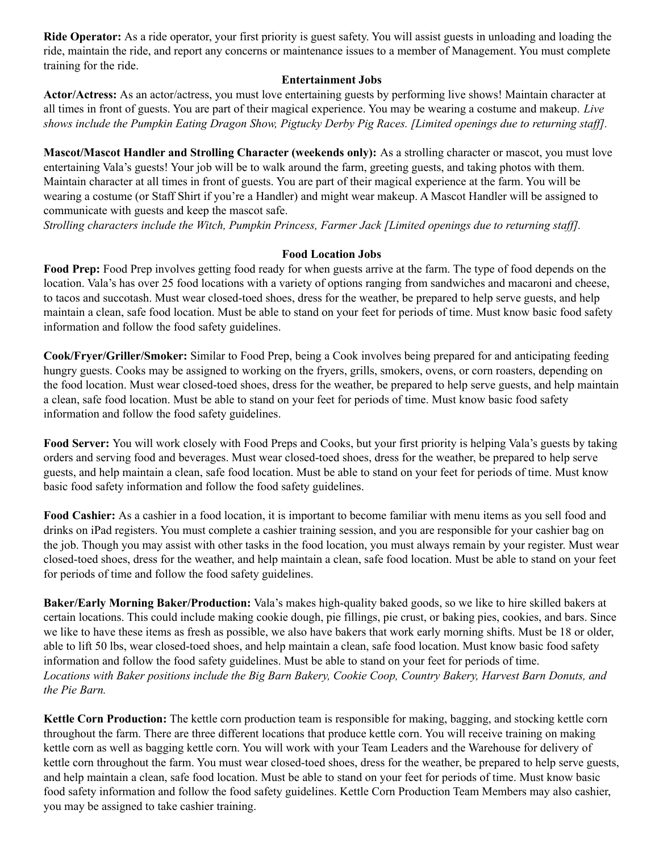**Ride Operator:** As a ride operator, your first priority is guest safety. You will assist guests in unloading and loading the ride, maintain the ride, and report any concerns or maintenance issues to a member of Management. You must complete training for the ride.

# **Entertainment Jobs**

**Actor/Actress:** As an actor/actress, you must love entertaining guests by performing live shows! Maintain character at all times in front of guests. You are part of their magical experience. You may be wearing a costume and makeup. *Live* shows include the Pumpkin Eating Dragon Show, Pigtucky Derby Pig Races. [Limited openings due to returning staff].

**Mascot/Mascot Handler and Strolling Character (weekends only):** As a strolling character or mascot, you must love entertaining Vala's guests! Your job will be to walk around the farm, greeting guests, and taking photos with them. Maintain character at all times in front of guests. You are part of their magical experience at the farm. You will be wearing a costume (or Staff Shirt if you're a Handler) and might wear makeup. A Mascot Handler will be assigned to communicate with guests and keep the mascot safe.

*Strolling characters include the Witch, Pumpkin Princess, Farmer Jack [Limited openings due to returning staf ].*

# **Food Location Jobs**

**Food Prep:** Food Prep involves getting food ready for when guests arrive at the farm. The type of food depends on the location. Vala's has over 25 food locations with a variety of options ranging from sandwiches and macaroni and cheese, to tacos and succotash. Must wear closed-toed shoes, dress for the weather, be prepared to help serve guests, and help maintain a clean, safe food location. Must be able to stand on your feet for periods of time. Must know basic food safety information and follow the food safety guidelines.

**Cook/Fryer/Griller/Smoker:** Similar to Food Prep, being a Cook involves being prepared for and anticipating feeding hungry guests. Cooks may be assigned to working on the fryers, grills, smokers, ovens, or corn roasters, depending on the food location. Must wear closed-toed shoes, dress for the weather, be prepared to help serve guests, and help maintain a clean, safe food location. Must be able to stand on your feet for periods of time. Must know basic food safety information and follow the food safety guidelines.

**Food Server:** You will work closely with Food Preps and Cooks, but your first priority is helping Vala's guests by taking orders and serving food and beverages. Must wear closed-toed shoes, dress for the weather, be prepared to help serve guests, and help maintain a clean, safe food location. Must be able to stand on your feet for periods of time. Must know basic food safety information and follow the food safety guidelines.

**Food Cashier:** As a cashier in a food location, it is important to become familiar with menu items as you sell food and drinks on iPad registers. You must complete a cashier training session, and you are responsible for your cashier bag on the job. Though you may assist with other tasks in the food location, you must always remain by your register. Must wear closed-toed shoes, dress for the weather, and help maintain a clean, safe food location. Must be able to stand on your feet for periods of time and follow the food safety guidelines.

**Baker/Early Morning Baker/Production:** Vala's makes high-quality baked goods, so we like to hire skilled bakers at certain locations. This could include making cookie dough, pie fillings, pie crust, or baking pies, cookies, and bars. Since we like to have these items as fresh as possible, we also have bakers that work early morning shifts. Must be 18 or older, able to lift 50 lbs, wear closed-toed shoes, and help maintain a clean, safe food location. Must know basic food safety information and follow the food safety guidelines. Must be able to stand on your feet for periods of time. Locations with Baker positions include the Big Barn Bakery, Cookie Coop, Country Bakery, Harvest Barn Donuts, and *the Pie Barn.*

**Kettle Corn Production:** The kettle corn production team is responsible for making, bagging, and stocking kettle corn throughout the farm. There are three different locations that produce kettle corn. You will receive training on making kettle corn as well as bagging kettle corn. You will work with your Team Leaders and the Warehouse for delivery of kettle corn throughout the farm. You must wear closed-toed shoes, dress for the weather, be prepared to help serve guests, and help maintain a clean, safe food location. Must be able to stand on your feet for periods of time. Must know basic food safety information and follow the food safety guidelines. Kettle Corn Production Team Members may also cashier, you may be assigned to take cashier training.